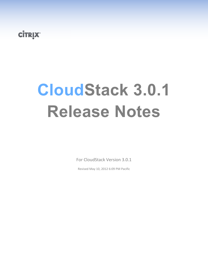# **CİTRIX**

# **CloudStack 3.0.1 Release Notes**

For CloudStack Version 3.0.1

Revised May 10, 2012 6:09 PM Pacific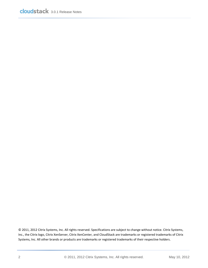© 2011, 2012 Citrix Systems, Inc. All rights reserved. Specifications are subject to change without notice. Citrix Systems, Inc., the Citrix logo, Citrix XenServer, Citrix XenCenter, and CloudStack are trademarks or registered trademarks of Citrix Systems, Inc. All other brands or products are trademarks or registered trademarks of their respective holders.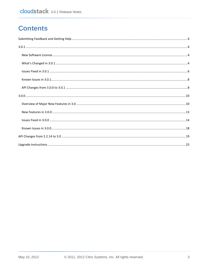## **Contents**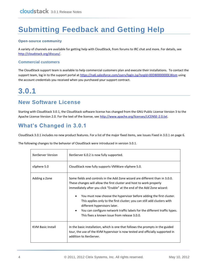# <span id="page-3-0"></span>**Submitting Feedback and Getting Help**

#### **Open-source community**

A variety of channels are available for getting help with CloudStack, from forums to IRC chat and more. For details, see [http://cloudstack.org/discuss/.](http://cloudstack.org/discuss/)

#### **Commercial customers**

The CloudStack support team is available to help commercial customers plan and execute their installations. To contact the support team, log in to the support portal at<https://na6.salesforce.com/sserv/login.jsp?orgId=00D80000000LWom> using the account credentials you received when you purchased your support contract.

# <span id="page-3-1"></span>**3.0.1**

### <span id="page-3-2"></span>**New Software License**

Starting with CloudStack 3.0.1, the CloudStack software license has changed from the GNU Public License Version 3 to the Apache License Version 2.0. For the text of the license, see [http://www.apache.org/licenses/LICENSE-2.0.txt.](http://www.apache.org/licenses/LICENSE-2.0.txt)

### <span id="page-3-3"></span>**What's Changed in 3.0.1**

CloudStack 3.0.1 includes no new product features. For a list of the major fixed items, see [Issues Fixed in 3.0.1](#page-5-0) on pag[e 6.](#page-5-0)

The following changes to the behavior of CloudStack were introduced in version 3.0.1.

| <b>XenServer Version</b> | XenServer 6.0.2 is now fully supported.                                                                                                                                                                                                                                                                                                                                                                                                                                                                                                                     |
|--------------------------|-------------------------------------------------------------------------------------------------------------------------------------------------------------------------------------------------------------------------------------------------------------------------------------------------------------------------------------------------------------------------------------------------------------------------------------------------------------------------------------------------------------------------------------------------------------|
| vSphere 5.0              | CloudStack now fully supports VMWare vSphere 5.0.                                                                                                                                                                                                                                                                                                                                                                                                                                                                                                           |
| Adding a Zone            | Some fields and controls in the Add Zone wizard are different than in 3.0.0.<br>These changes will allow the first cluster and host to work properly<br>immediately after you click "Enable" at the end of the Add Zone wizard:<br>You must now choose the hypervisor before adding the first cluster.<br>This applies only to the first cluster; you can still add clusters with<br>different hypervisors later.<br>You can configure network traffic labels for the different traffic types.<br>$\bullet$<br>This fixes a known issue from release 3.0.0. |
| <b>KVM Basic Install</b> | In the basic installation, which is one that follows the prompts in the guided<br>tour, the use of the KVM hypervisor is now tested and officially supported in<br>addition to XenServer.                                                                                                                                                                                                                                                                                                                                                                   |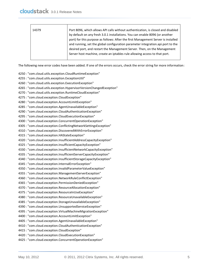| 14379 | Port 8096, which allows API calls without authentication, is closed and disabled  |
|-------|-----------------------------------------------------------------------------------|
|       | by default on any fresh 3.0.1 installations. You can enable 8096 (or another      |
|       | port) for this purpose as follows: After the first Management Server is installed |
|       | and running, set the global configuration parameter integration.api.port to the   |
|       | desired port, and restart the Management Server. Then, on the Management          |
|       | Server host machine, create an iptables rule allowing access to that port.        |
|       |                                                                                   |

The following new error codes have been added. If one of the errors occurs, check the error string for more information:

- 4250 : "com.cloud.utils.exception.CloudRuntimeException"
- 4255 : "com.cloud.utils.exception.ExceptionUtil"
- 4260 : "com.cloud.utils.exception.ExecutionException"
- 4265 : "com.cloud.utils.exception.HypervisorVersionChangedException"
- 4270 : "com.cloud.utils.exception.RuntimeCloudException"
- 4275 : "com.cloud.exception.CloudException"
- 4280 : "com.cloud.exception.AccountLimitException"
- 4285 : "com.cloud.exception.AgentUnavailableException"
- 4290 : "com.cloud.exception.CloudAuthenticationException"
- 4295 : "com.cloud.exception.CloudExecutionException"
- 4300 : "com.cloud.exception.ConcurrentOperationException"
- 4305 : "com.cloud.exception.ConflictingNetworkSettingsException"
- 4310 : "com.cloud.exception.DiscoveredWithErrorException"
- 4315 : "com.cloud.exception.HAStateException"
- 4320 : "com.cloud.exception.InsufficientAddressCapacityException"
- 4325 : "com.cloud.exception.InsufficientCapacityException"
- 4330 : "com.cloud.exception.InsufficientNetworkCapacityException"
- 4335 : "com.cloud.exception.InsufficientServerCapacityException"
- 4340 : "com.cloud.exception.InsufficientStorageCapacityException"
- 4345 : "com.cloud.exception.InternalErrorException"
- 4350 : "com.cloud.exception.InvalidParameterValueException"
- 4355 : "com.cloud.exception.ManagementServerException"
- 4360 : "com.cloud.exception.NetworkRuleConflictException"
- 4365 : "com.cloud.exception.PermissionDeniedException"
- 4370 : "com.cloud.exception.ResourceAllocationException"
- 4375 : "com.cloud.exception.ResourceInUseException"
- 4380 : "com.cloud.exception.ResourceUnavailableException"
- 4385 : "com.cloud.exception.StorageUnavailableException"
- 4390 : "com.cloud.exception.UnsupportedServiceException"
- 4395 : "com.cloud.exception.VirtualMachineMigrationException"
- 4400 : "com.cloud.exception.AccountLimitException"
- 4405 : "com.cloud.exception.AgentUnavailableException"
- 4410 : "com.cloud.exception.CloudAuthenticationException"
- 4415 : "com.cloud.exception.CloudException"
- 4420 : "com.cloud.exception.CloudExecutionException"
- 4425 : "com.cloud.exception.ConcurrentOperationException"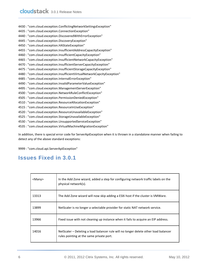4430 : "com.cloud.exception.ConflictingNetworkSettingsException" 4435 : "com.cloud.exception.ConnectionException" 4440 : "com.cloud.exception.DiscoveredWithErrorException" 4445 : "com.cloud.exception.DiscoveryException" 4450 : "com.cloud.exception.HAStateException" 4455 : "com.cloud.exception.InsufficientAddressCapacityException" 4460 : "com.cloud.exception.InsufficientCapacityException" 4465 : "com.cloud.exception.InsufficientNetworkCapacityException" 4470 : "com.cloud.exception.InsufficientServerCapacityException" 4475 : "com.cloud.exception.InsufficientStorageCapacityException" 4480 : "com.cloud.exception.InsufficientVirtualNetworkCapcityException" 4485 : "com.cloud.exception.InternalErrorException" 4490 : "com.cloud.exception.InvalidParameterValueException" 4495 : "com.cloud.exception.ManagementServerException" 4500 : "com.cloud.exception.NetworkRuleConflictException" 4505 : "com.cloud.exception.PermissionDeniedException" 4510 : "com.cloud.exception.ResourceAllocationException" 4515 : "com.cloud.exception.ResourceInUseException" 4520 : "com.cloud.exception.ResourceUnavailableException" 4525 : "com.cloud.exception.StorageUnavailableException" 4530 : "com.cloud.exception.UnsupportedServiceException"

4535 : "com.cloud.exception.VirtualMachineMigrationException"

In addition, there is special error code for ServerApiException when it is thrown in a standalone manner when failing to detect any of the above standard exceptions:

9999 : "com.cloud.api.ServerApiException"

### <span id="page-5-0"></span>**Issues Fixed in 3.0.1**

| <many></many> | In the Add Zone wizard, added a step for configuring network traffic labels on the<br>physical network(s).                      |
|---------------|---------------------------------------------------------------------------------------------------------------------------------|
| 13313         | The Add Zone wizard will now skip adding a ESXi host if the cluster is VMWare.                                                  |
| 13899         | NetScaler is no longer a selectable provider for static NAT network service.                                                    |
| 13966         | Fixed issue with not cleaning up instance when it fails to acquire an EIP address.                                              |
| 14016         | NetScaler – Deleting a load balancer rule will no longer delete other load balancer<br>rules pointing at the same private port. |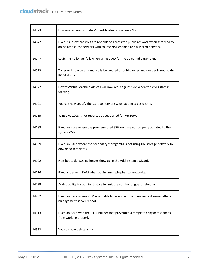| 14023 | UI - You can now update SSL certificates on system VMs.                                                                                                      |
|-------|--------------------------------------------------------------------------------------------------------------------------------------------------------------|
| 14042 | Fixed issues where VMs are not able to access the public network when attached to<br>an isolated guest network with source NAT enabled and a shared network. |
| 14047 | Login API no longer fails when using UUID for the domainId parameter.                                                                                        |
| 14073 | Zones will now be automatically be created as public zones and not dedicated to the<br>ROOT domain.                                                          |
| 14077 | DestroyVirtualMachine API call will now work against VM when the VM's state is<br>Starting.                                                                  |
| 14101 | You can now specify the storage network when adding a basic zone.                                                                                            |
| 14135 | Windows 2003 is not reported as supported for XenServer.                                                                                                     |
| 14188 | Fixed an issue where the pre-generated SSH keys are not properly updated to the<br>system VMs.                                                               |
| 14189 | Fixed an issue where the secondary storage VM is not using the storage network to<br>download templates.                                                     |
| 14202 | Non-bootable ISOs no longer show up in the Add Instance wizard.                                                                                              |
| 14216 | Fixed issues with KVM when adding multiple physical networks.                                                                                                |
| 14239 | Added ability for administrators to limit the number of guest networks.                                                                                      |
| 14282 | Fixed an issue where KVM is not able to reconnect the management server after a<br>management server reboot.                                                 |
| 14313 | Fixed an issue with the JSON builder that prevented a template copy across zones<br>from working properly.                                                   |
| 14332 | You can now delete a host.                                                                                                                                   |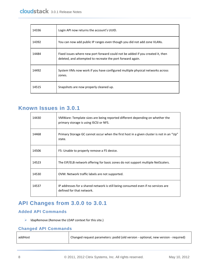| 14336 | Login API now returns the account's UUID.                                                                                                    |
|-------|----------------------------------------------------------------------------------------------------------------------------------------------|
| 14392 | You can now add public IP ranges even though you did not add zone VLANs.                                                                     |
| 14484 | Fixed issues where new port forward could not be added if you created it, then<br>deleted, and attempted to recreate the port forward again. |
| 14492 | System VMs now work if you have configured multiple physical networks across<br>zones.                                                       |
| 14515 | Snapshots are now properly cleaned up.                                                                                                       |

### <span id="page-7-0"></span>**Known Issues in 3.0.1**

| 14430 | VMWare: Template sizes are being reported different depending on whether the<br>primary storage is using ISCSI or NFS. |
|-------|------------------------------------------------------------------------------------------------------------------------|
| 14468 | Primary Storage GC cannot occur when the first host in a given cluster is not in an "Up"<br>state.                     |
| 14506 | F5: Unable to properly remove a F5 device.                                                                             |
| 14523 | The EIP/ELB network offering for basic zones do not support multiple NetScalers.                                       |
| 14530 | OVM: Network traffic labels are not supported.                                                                         |
| 14537 | IP addresses for a shared network is still being consumed even if no services are<br>defined for that network.         |

### <span id="page-7-1"></span>**API Changes from 3.0.0 to 3.0.1**

#### **Added API Commands**

 $\triangleright$  IdapRemove (Remove the LDAP context for this site.)

#### **Changed API Commands**

| addHost | Changed request parameters: podid (old version - optional, new version - required) |
|---------|------------------------------------------------------------------------------------|
|         |                                                                                    |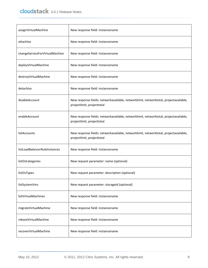| assignVirtualMachine           | New response field: instancename                                                                                   |
|--------------------------------|--------------------------------------------------------------------------------------------------------------------|
| attachiso                      | New response field: instancename                                                                                   |
| changeServiceForVirtualMachine | New response field: instancename                                                                                   |
| deployVirtualMachine           | New response field: instancename                                                                                   |
| destroyVirtualMachine          | New response field: instancename                                                                                   |
| detachiso                      | New response field: instancename                                                                                   |
| disableAccount                 | New response fields: networkavailable, networklimit, networktotal, projectavailable,<br>projectlimit, projecttotal |
| enableAccount                  | New response fields: networkavailable, networklimit, networktotal, projectavailable,<br>projectlimit, projecttotal |
| listAccounts                   | New response fields: networkavailable, networklimit, networktotal, projectavailable,<br>projectlimit, projecttotal |
| listLoadBalancerRuleInstances  | New response field: instancename                                                                                   |
| listOsCategories               | New request parameter: name (optional)                                                                             |
| listOsTypes                    | New request parameter: description (optional)                                                                      |
| listSystemVms                  | New request parameter: storageid (optional)                                                                        |
| listVirtualMachines            | New response field: instancename                                                                                   |
| migrateVirtualMachine          | New response field: instancename                                                                                   |
| rebootVirtualMachine           | New response field: instancename                                                                                   |
| recoverVirtualMachine          | New response field: instancename                                                                                   |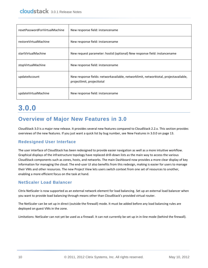| resetPasswordForVirtualMachine | New response field: instancename                                                                                   |
|--------------------------------|--------------------------------------------------------------------------------------------------------------------|
| restoreVirtualMachine          | New response field: instancename                                                                                   |
| startVirtualMachine            | New request parameter: hostid (optional) New response field: instancename                                          |
| stopVirtualMachine             | New response field: instancename                                                                                   |
| updateAccount                  | New response fields: networkavailable, networklimit, networktotal, projectavailable,<br>projectlimit, projecttotal |
| updateVirtualMachine           | New response field: instancename                                                                                   |

# <span id="page-9-0"></span>**3.0.0**

### <span id="page-9-1"></span>**Overview of Major New Features in 3.0**

CloudStack 3.0 is a major new release. It provides several new features compared to CloudStack 2.2.x. This section provides overviews of the new features. If you just want a quick list by bug number, se[e New Features in 3.0.0](#page-12-0) on page [13.](#page-12-0)

#### **Redesigned User Interface**

The user interface of CloudStack has been redesigned to provide easier navigation as well as a more intuitive workflow. Graphical displays of the infrastructure topology have replaced drill-down lists as the main way to access the various CloudStack components such as zones, hosts, and networks. The main Dashboard now provides a more clear display of key information for managing the cloud. The end-user UI also benefits from this redesign, making is easier for users to manage their VMs and other resources. The new Project View lets users switch context from one set of resources to another, enabling a more efficient focus on the task at hand.

#### **NetScaler Load Balancer**

Citrix NetScaler is now supported as an external network element for load balancing. Set up an external load balancer when you want to provide load balancing through means other than CloudStack's provided virtual router.

The NetScaler can be set up in direct (outside the firewall) mode. It must be added before any load balancing rules are deployed on guest VMs in the zone.

Limitations: NetScaler can not yet be used as a firewall. It can not currently be set up in in-line mode (behind the firewall).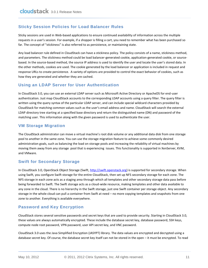#### **Sticky Session Policies for Load Balancer Rules**

Sticky sessions are used in Web-based applications to ensure continued availability of information across the multiple requests in a user's session. For example, if a shopper is filling a cart, you need to remember what has been purchased so far. The concept of "stickiness" is also referred to as persistence, or maintaining state.

Any load balancer rule defined in CloudStack can have a stickiness policy. The policy consists of a name, stickiness method, and parameters. The stickiness method could be load balancer-generated cookie, application-generated cookie, or sourcebased. In the source-based method, the source IP address is used to identify the user and locate the user's stored data. In the other methods, cookies are used. The cookie generated by the load balancer or application is included in request and response URLs to create persistence. A variety of options are provided to control the exact behavior of cookies, such as how they are generated and whether they are cached.

#### **Using an LDAP Server for User Authentication**

In CloudStack 3.0, you can use an external LDAP server such as Microsoft Active Directory or ApacheDS for end-user authentication. Just map CloudStack accounts to the corresponding LDAP accounts using a query filter. The query filter is written using the query syntax of the particular LDAP server, and can include special wildcard characters provided by CloudStack for matching common values such as the user's email address and name. CloudStack will search the external LDAP directory tree starting at a specified base directory and return the distinguished name (DN) and password of the matching user. This information along with the given password is used to authenticate the user.

#### **VM Storage Migration**

The CloudStack administrator can move a virtual machine's root disk volume or any additional data disk from one storage pool to another in the same zone. You can use the storage migration feature to achieve some commonly desired administration goals, such as balancing the load on storage pools and increasing the reliability of virtual machines by moving them away from any storage pool that is experiencing issues. This functionality is supported in XenServer, KVM, and VMware.

#### **Swift for Secondary Storage**

In CloudStack 3.0, OpenStack Object Storage (Swift, [http://swift.openstack.org\)](http://swift.openstack.org/) is supported for secondary storage. When using Swift, you configure Swift storage for the entire CloudStack, then set up NFS secondary storage for each zone. The NFS storage in each zone acts as a staging area through which all templates and other secondary storage data pass before being forwarded to Swift. The Swift storage acts as a cloud-wide resource, making templates and other data available to any zone in the cloud. There is no hierarchy in the Swift storage, just one Swift container per storage object. Any secondary storage in the whole cloud can pull a container from Swift at need – no more copying templates and snapshots from one zone to another. Everything is available everywhere.

#### **Password and Key Encryption**

CloudStack stores several sensitive passwords and secret keys that are used to provide security. Starting in CloudStack 3.0, these values are always automatically encrypted. These include the database secret key, database password, SSH keys, compute node root password, VPN password, user API secret key, and VNC password.

CloudStack 3.0 uses the Java Simplified Encryption (JASYPT) library. The data values are encrypted and decrypted using a database secret key. Of course, the database secret key itself can not be stored in the open – it must be encrypted. To read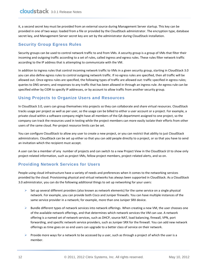it, a second secret key must be provided from an external source during Management Server startup. This key can be provided in one of two ways: loaded from a file or provided by the CloudStack administrator. The encryption type, database secret key, and Management Server secret key are set by the administrator during CloudStack installation.

#### **Security Group Egress Rules**

Security groups can be used to control network traffic to and from VMs. A security group is a group of VMs that filter their incoming and outgoing traffic according to a set of rules, called ingress and egress rules. These rules filter network traffic according to the IP address that is attempting to communicate with the VM.

In addition to ingress rules that control incoming network traffic to VMs in a given security group, starting in CloudStack 3.0 you can also define egress rules to control outgoing network traffic. If no egress rules are specified, then all traffic will be allowed out. Once egress rules are specified, the following types of traffic are allowed out: traffic specified in egress rules; queries to DNS servers; and responses to any traffic that has been allowed in through an ingress rule. An egress rule can be specified either by CIDR to specify IP addresses, or by account to allow traffic from another security group.

#### **Using Projects to Organize Users and Resources**

In CloudStack 3.0, users can group themselves into projects so they can collaborate and share virtual resources. CloudStack tracks usage per project as well as per user, so the usage can be billed to either a user account or a project. For example, a private cloud within a software company might have all members of the QA department assigned to one project, so the company can track the resources used in testing while the project members can more easily isolate their efforts from other users of the same cloud. Per-project resource limits can be set.

You can configure CloudStack to allow any user to create a new project, or you can restrict that ability to just CloudStack administrators. CloudStack can be set up either so that you can add people directly to a project, or so that you have to send an invitation which the recipient must accept.

A user can be a member of any number of projects and can switch to a new Project View in the CloudStack UI to show only project-related information, such as project VMs, fellow project members, project-related alerts, and so on.

#### **Providing Network Services for Users**

People using cloud infrastructure have a variety of needs and preferences when it comes to the networking services provided by the cloud. Provisioning physical and virtual networks has always been supported in CloudStack. As a CloudStack 3.0 administrator, you can do the following additional things to set up networking for your users:

- $\triangleright$  Set up several different providers (also known as network elements) for the same service on a single physical network. For example, you can provide both Cisco and Juniper firewalls. You can have multiple instances of the same service provider in a network; for example, more than one Juniper SRX device.
- $\triangleright$  Bundle different types of network services into network offerings. When creating a new VM, the user chooses one of the available network offerings, and that determines which network services the VM can use. A network offering is a named set of network services, such as DHCP, source NAT, load balancing, firewall, VPN, port forwarding, and specific network service providers, such as Juniper SRX for the firewall. You can add new network offerings as time goes on so end users can upgrade to a better class of service on their network.
- Provide more ways for a network to be accessed by a user, such as through a project of which the user is a member.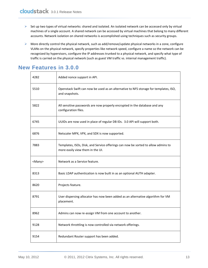- $\triangleright$  Set up two types of virtual networks: shared and isolated. An isolated network can be accessed only by virtual machines of a single account. A shared network can be accessed by virtual machines that belong to many different accounts. Network isolation on shared networks is accomplished using techniques such as security groups.
- $\triangleright$  More directly control the physical network, such as add/remove/update physical networks in a zone, configure VLANs on the physical network, specify properties like network speed, configure a name so the network can be recognized by hypervisors, configure the IP addresses trunked to a physical network, and specify what type of traffic is carried on the physical network (such as guest VM traffic vs. internal management traffic).

### <span id="page-12-0"></span>**New Features in 3.0.0**

| 4282          | Added nonce support in API.                                                                                           |
|---------------|-----------------------------------------------------------------------------------------------------------------------|
| 5510          | Openstack Swift can now be used as an alternative to NFS storage for templates, ISO,<br>and snapshots.                |
| 5822          | All sensitive passwords are now properly encrypted in the database and any<br>configuration files.                    |
| 6745          | UUIDs are now used in place of regular DB IDs. 3.0 API will support both.                                             |
| 6876          | Netscaler MPX, VPX, and SDX is now supported.                                                                         |
| 7883          | Templates, ISOs, Disk, and Service offerings can now be sorted to allow admins to<br>more easily view them in the UI. |
| <many></many> | Network as a Service feature.                                                                                         |
| 8313          | Basic LDAP authentication is now built in as an optional AUTH adapter.                                                |
| 8620          | Projects feature.                                                                                                     |
| 8791          | User dispersing allocator has now been added as an alternative algorithm for VM<br>placement.                         |
| 8962          | Admins can now re-assign VM from one account to another.                                                              |
| 9128          | Network throttling is now controlled via network offerings.                                                           |
| 9154          | Redundant Router support has been added.                                                                              |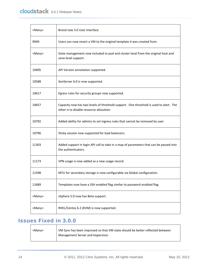| <many></many> | Brand new 3.0 User Interface                                                                                                      |
|---------------|-----------------------------------------------------------------------------------------------------------------------------------|
| 9949          | Users can now revert a VM to the original template it was created from.                                                           |
| <many></many> | State management now included to pod and cluster level from the original host and<br>zone level support.                          |
| 10405         | API Version annotation supported.                                                                                                 |
| 10588         | XenServer 6.0 is now supported.                                                                                                   |
| 10617         | Egress rules for security groups now supported.                                                                                   |
| 10657         | Capacity now has two levels of threshold support. One threshold is used to alert. The<br>other is to disable resource allocation. |
| 10792         | Added ability for admins to set ingress rules that cannot be removed by user.                                                     |
| 10796         | Sticky session now supported for load balancers.                                                                                  |
| 11303         | Added support in login API call to take in a map of parameters that can be passed into<br>the authenticators.                     |
| 11173         | VPN usage is now added as a new usage record.                                                                                     |
| 11598         | MTU for secondary storage is now configurable via Global configuration.                                                           |
| 11689         | Templates now have a SSH enabled flag similar to password enabled flag.                                                           |
| <many></many> | vSphere 5.0 now has Beta support.                                                                                                 |
| <many></many> | RHEL/Centos 6.2 (KVM) is now supported.                                                                                           |

#### <span id="page-13-0"></span>**Issues Fixed in 3.0.0**  $\top$

| <many></many> | VM Sync has been improved so that VM state should be better reflected between |  |
|---------------|-------------------------------------------------------------------------------|--|
|               | Management Server and Hypervisor.                                             |  |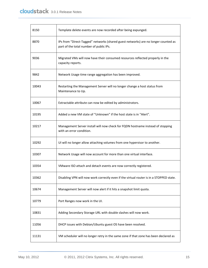| 8150  | Template delete events are now recorded after being expunged.                                                                 |  |
|-------|-------------------------------------------------------------------------------------------------------------------------------|--|
| 8870  | IPs from "Direct-Tagged" networks (shared guest networks) are no longer counted as<br>part of the total number of public IPs. |  |
| 9036  | Migrated VMs will now have their consumed resources reflected properly in the<br>capacity reports.                            |  |
| 9842  | Network Usage time range aggregation has been improved.                                                                       |  |
| 10043 | Restarting the Management Server will no longer change a host status from<br>Maintenance to Up.                               |  |
| 10067 | Extractable attribute can now be edited by administrators.                                                                    |  |
| 10195 | Added a new VM state of "Unknown" if the host state is in "Alert".                                                            |  |
| 10217 | Management Server install will now check for FQDN hostname instead of stopping<br>with an error condition.                    |  |
| 10292 | UI will no longer allow attaching volumes from one hypervisor to another.                                                     |  |
| 10307 | Network Usage will now account for more than one virtual interface.                                                           |  |
| 10354 | VMware ISO attach and detach events are now correctly registered.                                                             |  |
| 10362 | Disabling VPN will now work correctly even if the virtual router is in a STOPPED state.                                       |  |
| 10674 | Management Server will now alert if it hits a snapshot limit quota.                                                           |  |
| 10779 | Port Ranges now work in the UI.                                                                                               |  |
| 10831 | Adding Secondary Storage URL with double slashes will now work.                                                               |  |
| 11056 | DHCP issues with Debian/Ubuntu guest OS have been resolved.                                                                   |  |
| 11131 | VM scheduler will no longer retry in the same zone if that zone has been declared as                                          |  |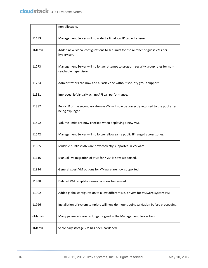|               | non-allocable.                                                                                              |  |
|---------------|-------------------------------------------------------------------------------------------------------------|--|
| 11193         | Management Server will now alert a link-local IP capacity issue.                                            |  |
| <many></many> | Added new Global configurations to set limits for the number of guest VMs per<br>hypervisor.                |  |
| 11273         | Management Server will no longer attempt to program security group rules for non-<br>reachable hypervisors. |  |
| 11284         | Administrators can now add a Basic Zone without security group support.                                     |  |
| 11311         | Improved listVirtualMachine API call performance.                                                           |  |
| 11387         | Public IP of the secondary storage VM will now be correctly returned to the pool after<br>being expunged.   |  |
| 11492         | Volume limits are now checked when deploying a new VM.                                                      |  |
| 11542         | Management Server will no longer allow same public IP ranged across zones.                                  |  |
| 11585         | Multiple public VLANs are now correctly supported in VMware.                                                |  |
| 11616         | Manual live migration of VMs for KVM is now supported.                                                      |  |
| 11814         | General guest VM options for VMware are now supported.                                                      |  |
| 11838         | Deleted VM template names can now be re-used.                                                               |  |
| 11902         | Added global configuration to allow different NIC drivers for VMware system VM.                             |  |
| 11926         | Installation of system template will now do mount point validation before proceeding.                       |  |
| <many></many> | Many passwords are no longer logged in the Management Server logs.                                          |  |
| <many></many> | Secondary storage VM has been hardened.                                                                     |  |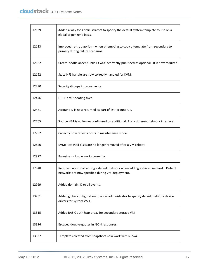| 12139 | Added a way for Administrators to specify the default system template to use on a<br>global or per zone basis.                        |  |
|-------|---------------------------------------------------------------------------------------------------------------------------------------|--|
| 12113 | Improved re-try algorithm when attempting to copy a template from secondary to<br>primary during failure scenarios.                   |  |
| 12162 | CreateLoadBalancer public ID was incorrectly published as optional. It is now required.                                               |  |
| 12192 | State NFS handle are now correctly handled for KVM.                                                                                   |  |
| 12290 | Security Groups improvements.                                                                                                         |  |
| 12476 | DHCP anti-spoofing fixes.                                                                                                             |  |
| 12481 | Account ID is now returned as part of listAccount API.                                                                                |  |
| 12705 | Source NAT is no longer configured on additional IP of a different network interface.                                                 |  |
| 12782 | Capacity now reflects hosts in maintenance mode.                                                                                      |  |
| 12820 | KVM: Attached disks are no longer removed after a VM reboot.                                                                          |  |
| 12877 | Pagesize = -1 now works correctly.                                                                                                    |  |
| 12848 | Removed notion of setting a default network when adding a shared network. Default<br>networks are now specified during VM deployment. |  |
| 12929 | Added domain ID to all events.                                                                                                        |  |
| 13201 | Added global configuration to allow administrator to specify default network device<br>drivers for system VMs.                        |  |
| 13315 | Added BASIC auth http proxy for secondary storage VM.                                                                                 |  |
| 13396 | Escaped double-quotes in JSON responses.                                                                                              |  |
| 13537 | Templates created from snapshots now work with NFSv4.                                                                                 |  |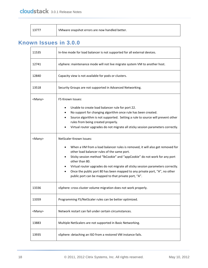| 13777 | VMware snapshot errors are now handled better. |
|-------|------------------------------------------------|
|-------|------------------------------------------------|

### <span id="page-17-0"></span>**Known Issues in 3.0.0**

| 11535         | In-line mode for load balancer is not supported for all external devices.                                                                                                                                             |  |
|---------------|-----------------------------------------------------------------------------------------------------------------------------------------------------------------------------------------------------------------------|--|
| 12741         | vSphere: maintenance mode will not live migrate system VM to another host.                                                                                                                                            |  |
| 12840         | Capacity view is not available for pods or clusters.                                                                                                                                                                  |  |
| 13518         | Security Groups are not supported in Advanced Networking.                                                                                                                                                             |  |
| <many></many> | F5 Known Issues:                                                                                                                                                                                                      |  |
|               | Unable to create load balancer rule for port 22.                                                                                                                                                                      |  |
|               | No support for changing algorithm once rule has been created.                                                                                                                                                         |  |
|               | Source algorithm is not supported. Setting a rule to source will prevent other<br>rules from being created properly.                                                                                                  |  |
|               | Virtual router upgrades do not migrate all sticky session parameters correctly.                                                                                                                                       |  |
| <many></many> | NetScaler Known Issues:                                                                                                                                                                                               |  |
|               | When a VM from a load balancer rules is removed, it will also get removed for<br>other load balancer rules of the same port.                                                                                          |  |
|               | Sticky session method "IbCookie" and "appCookie" do not work for any port<br>other than 80.                                                                                                                           |  |
|               | Virtual router upgrades do not migrate all sticky session parameters correctly.<br>Once the public port 80 has been mapped to any private port, "A", no other<br>public port can be mapped to that private port, "A". |  |
| 13336         | vSphere: cross cluster volume migration does not work properly.                                                                                                                                                       |  |
| 13359         | Programming F5/NetScaler rules can be better optimized.                                                                                                                                                               |  |
| <many></many> | Network restart can fail under certain circumstances.                                                                                                                                                                 |  |
| 13883         | Multiple NetScalers are not supported in Basic Networking.                                                                                                                                                            |  |
| 13935         | vSphere: detaching an ISO from a restored VM instance fails.                                                                                                                                                          |  |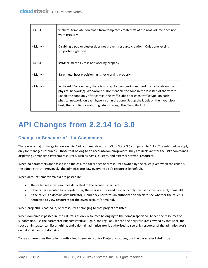| 13963         | vSphere: template download from templates created off of the root volume does not<br>work properly.                                                                                                                                                                                                                                                                                                                                  |  |
|---------------|--------------------------------------------------------------------------------------------------------------------------------------------------------------------------------------------------------------------------------------------------------------------------------------------------------------------------------------------------------------------------------------------------------------------------------------|--|
| <many></many> | Disabling a pod or cluster does not prevent resource creation. Only zone level is<br>supported right now.                                                                                                                                                                                                                                                                                                                            |  |
| 14024         | KVM: clustered LVM is not working properly.                                                                                                                                                                                                                                                                                                                                                                                          |  |
| <many></many> | Bare metal host provisioning is not working properly.                                                                                                                                                                                                                                                                                                                                                                                |  |
| $<$ Many $>$  | In the Add Zone wizard, there is no step for configuring network traffic labels on the<br>physical network(s). Workaround: Don't enable the zone in the last step of the wizard.<br>Enable the zone only after configuring traffic labels for each traffic type, on each<br>physical network, on each hypervisor in the zone. Set up the labels on the hypervisor<br>host, then configure matching labels through the CloudStack UI. |  |

# <span id="page-18-0"></span>**API Changes from 2.2.14 to 3.0**

#### **Change to Behavior of List Commands**

There was a major change in how our List\* API commands work in CloudStack 3.0 compared to 2.2.x. The rules below apply only for managed resources – those that belong to an account/domain/project. They are irrelevant for the List\* commands displaying unmanaged (system) resources, such as hosts, clusters, and external network resources.

When no parameters are passed in to the call, the caller sees only resources owned by the caller (even when the caller is the administrator). Previously, the administrator saw everyone else's resources by default.

When accountName/domainId are passed in:

- The caller sees the resources dedicated to the account specified.
- If the call is executed by a regular user, the user is authorized to specify only the user's own account/domainId.
- If the caller is a domain administrator, CloudStack performs an authorization check to see whether the caller is permitted to view resources for the given account/domainId.

When projectId is passed in, only resources belonging to that project are listed.

When domainId is passed in, the call returns only resources belonging to the domain specified. To see the resources of subdomains, use the parameter isRecursive=true. Again, the regular user can see only resources owned by that user, the root administrator can list anything, and a domain administrator is authorized to see only resources of the administrator's own domain and subdomains.

To see all resources the caller is authorized to see, except for Project resources, use the parameter listAll=true.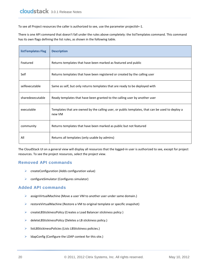To see all Project resources the caller is authorized to see, use the parameter projectId=-1.

There is one API command that doesn't fall under the rules above completely: the listTemplates command. This command has its own flags defining the list rules, as shown in the following table.

| listTemplates Flag | <b>Description</b>                                                                                        |
|--------------------|-----------------------------------------------------------------------------------------------------------|
| Featured           | Returns templates that have been marked as featured and public                                            |
| Self               | Returns templates that have been registered or created by the calling user                                |
| selfexecutable     | Same as self, but only returns templates that are ready to be deployed with                               |
| sharedexecutable   | Ready templates that have been granted to the calling user by another user                                |
| executable         | Templates that are owned by the calling user, or public templates, that can be used to deploy a<br>new VM |
| community          | Returns templates that have been marked as public but not featured                                        |
| All                | Returns all templates (only usable by admins)                                                             |

The CloudStack UI on a general view will display all resources that the logged-in user is authorized to see, except for project resources. To see the project resources, select the project view.

#### **Removed API commands**

- $\triangleright$  createConfiguration (Adds configuration value)
- ▶ configureSimulator (Configures simulator)

#### **Added API commands**

- assignVirtualMachine (Move a user VM to another user under same domain.)
- $\triangleright$  restoreVirtualMachine (Restore a VM to original template or specific snapshot)
- ▶ createLBStickinessPolicy (Creates a Load Balancer stickiness policy)
- deleteLBStickinessPolicy (Deletes a LB stickiness policy.)
- listLBStickinessPolicies (Lists LBStickiness policies.)
- $\triangleright$  IdapConfig (Configure the LDAP context for this site.)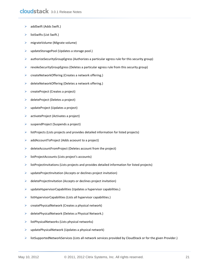- $\triangleright$  addSwift (Adds Swift.)
- listSwifts (List Swift.)
- migrateVolume (Migrate volume)
- updateStoragePool (Updates a storage pool.)
- $\triangleright$  authorizeSecurityGroupEgress (Authorizes a particular egress rule for this security group)
- $\triangleright$  revokeSecurityGroupEgress (Deletes a particular egress rule from this security group)
- ▶ createNetworkOffering (Creates a network offering.)
- $\triangleright$  deleteNetworkOffering (Deletes a network offering.)
- $\triangleright$  createProject (Creates a project)
- $\triangleright$  deleteProject (Deletes a project)
- $\triangleright$  updateProject (Updates a project)
- $\triangleright$  activateProject (Activates a project)
- $\triangleright$  suspendProject (Suspends a project)
- $\triangleright$  listProjects (Lists projects and provides detailed information for listed projects)
- addAccountToProject (Adds acoount to a project)
- $\triangleright$  deleteAccountFromProject (Deletes account from the project)
- $\triangleright$  listProjectAccounts (Lists project's accounts)
- $\triangleright$  listProjectInvitations (Lists projects and provides detailed information for listed projects)
- $\triangleright$  updateProjectInvitation (Accepts or declines project invitation)
- $\triangleright$  deleteProjectInvitation (Accepts or declines project invitation)
- $\triangleright$  updateHypervisorCapabilities (Updates a hypervisor capabilities.)
- $\triangleright$  listHypervisorCapabilities (Lists all hypervisor capabilities.)
- $\triangleright$  createPhysicalNetwork (Creates a physical network)
- deletePhysicalNetwork (Deletes a Physical Network.)
- $\triangleright$  listPhysicalNetworks (Lists physical networks)
- $\triangleright$  updatePhysicalNetwork (Updates a physical network)
- listSupportedNetworkServices (Lists all network services provided by CloudStack or for the given Provider.)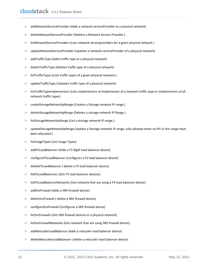- $\triangleright$  addNetworkServiceProvider (Adds a network serviceProvider to a physical network)
- deleteNetworkServiceProvider (Deletes a Network Service Provider.)
- $\triangleright$  listNetworkServiceProviders (Lists network serviceproviders for a given physical network.)
- $\triangleright$  updateNetworkServiceProvider (Updates a network serviceProvider of a physical network)
- $\triangleright$  addTrafficType (Adds traffic type to a physical network)
- $\triangleright$  deleteTrafficType (Deletes traffic type of a physical network)
- $\triangleright$  listTrafficTypes (Lists traffic types of a given physical network.)
- $\triangleright$  updateTrafficType (Updates traffic type of a physical network)
- $\triangleright$  listTrafficTypeImplementors (Lists implementors of implementor of a network traffic type or implementors of all network traffic types)
- ▶ createStorageNetworkIpRange (Creates a Storage network IP range.)
- deleteStorageNetworkIpRange (Deletes a storage network IP Range.)
- listStorageNetworkIpRange (List a storage network IP range.)
- ▶ updateStorageNetworkIpRange (Update a Storage network IP range, only allowed when no IPs in this range have been allocated.)
- $\triangleright$  listUsageTypes (List Usage Types)
- addF5LoadBalancer (Adds a F5 BigIP load balancer device)
- configureF5LoadBalancer (configures a F5 load balancer device)
- deleteF5LoadBalancer ( delete a F5 load balancer device)
- $\triangleright$  listF5LoadBalancers (lists F5 load balancer devices)
- $\triangleright$  listF5LoadBalancerNetworks (lists network that are using a F5 load balancer device)
- $\triangleright$  addSrxFirewall (Adds a SRX firewall device)
- $\triangleright$  deleteSrxFirewall ( delete a SRX firewall device)
- ▶ configureSrxFirewall (Configures a SRX firewall device)
- $\triangleright$  listSrxFirewalls (lists SRX firewall devices in a physical network)
- $\triangleright$  listSrxFirewallNetworks (lists network that are using SRX firewall device)
- addNetscalerLoadBalancer (Adds a netscaler load balancer device)
- deleteNetscalerLoadBalancer ( delete a netscaler load balancer device)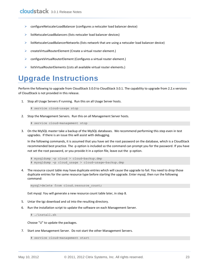- $\triangleright$  configureNetscalerLoadBalancer (configures a netscaler load balancer device)
- listNetscalerLoadBalancers (lists netscaler load balancer devices)
- $\triangleright$  listNetscalerLoadBalancerNetworks (lists network that are using a netscaler load balancer device)
- $\triangleright$  createVirtualRouterElement (Create a virtual router element.)
- ▶ configureVirtualRouterElement (Configures a virtual router element.)
- $\triangleright$  listVirtualRouterElements (Lists all available virtual router elements.)

# <span id="page-22-0"></span>**Upgrade Instructions**

Perform the following to upgrade from CloudStack 3.0.0 to CloudStack 3.0.1. The capability to upgrade from 2.2.x versions of CloudStack is not provided in this release.

1. Stop all Usage Servers if running. Run this on all Usage Server hosts.

# service cloud-usage stop

2. Stop the Management Servers. Run this on all Management Server hosts.

# service cloud-management stop

3. On the MySQL master take a backup of the MySQL databases. We recommend performing this step even in test upgrades. If there is an issue this will assist with debugging.

In the following commands, it is assumed that you have set the root password on the database, which is a CloudStack recommended best practice. The -p option is included so the command can prompt you for the password. If you have not set the root password, or you provide it in a option file, leave out the -p option.

```
# mysqldump -p cloud > cloud-backup.dmp
# mysqldump -p cloud usage > cloud-usage-backup.dmp
```
<span id="page-22-1"></span>4. The resource count table may have duplicate entries which will cause the upgrade to fail. You need to drop those duplicate entries for the same resource type before starting the upgrade. Enter mysql, then run the following command:

mysql>delete from cloud.resource\_count;

Exit mysql. You will generate a new resource count table later, in step [8.](#page-23-0)

- 5. Untar the tgz download and cd into the resulting directory.
- 6. Run the installation script to update the software on each Management Server.

# ./install.sh

Choose "U" to update the packages.

7. Start one Management Server. Do not start the other Management Servers.

# service cloud-management start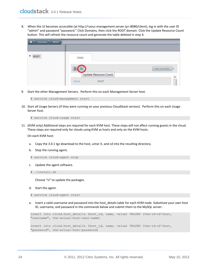<span id="page-23-0"></span>8. When the UI becomes accessible (at http://<your.management.server.ip>:8080/client), log in with the user ID "admin" and password "password." Click Domains, then click the ROOT domain. Click the Update Resource Count button. This will refresh the resource count and generate the table deleted in ste[p 4.](#page-22-1)

| ROOT<br><b>Domains</b><br>ñ |                                       |               |
|-----------------------------|---------------------------------------|---------------|
|                             |                                       |               |
| ROOT                        | Details                               | View Accounts |
|                             | Update Resource Count<br>ROOT<br>Name |               |

9. Start the other Management Servers. Perform this on each Management Server host.

```
# service cloud-management start
```
10. Start all Usage Servers (if they were running on your previous CloudStack version). Perform this on each Usage Server host.

```
# service cloud-usage start
```
11. (KVM only) Additional steps are required for each KVM host. These steps will not affect running guests in the cloud. These steps are required only for clouds using KVM as hosts and only on the KVM hosts.

On each KVM host:

- a. Copy the 3.0.1 tgz download to the host, untar it, and cd into the resulting directory.
- b. Stop the running agent.
- # service cloud-agent stop
- c. Update the agent software.
- # ./install.sh

Choose "U" to update the packages.

- d. Start the agent.
- # service cloud-agent start
- e. Insert a valid username and password into the host\_details table for each KVM node. Substitute your own host ID, username, and password in the commands below and submit them to the MySQL server:

```
insert into cloud.host_details (host_id, name, value) VALUES (the-id-of-host, 
"username", the-actual-host-user-name)
insert into cloud.host details (host id, name, value) VALUES (the-id-of-host,
"password", the-actual-host-password)
```